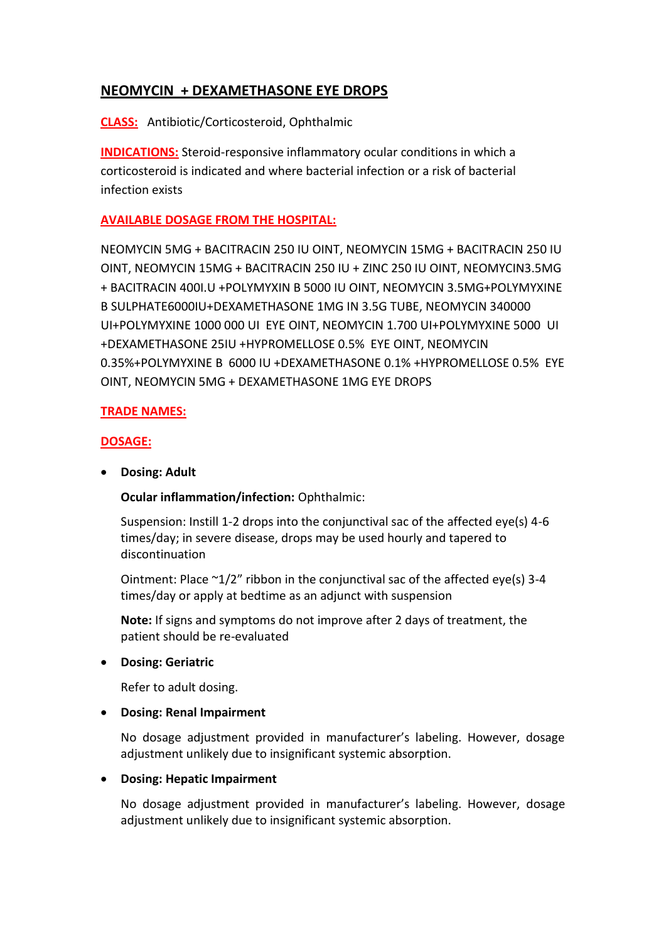# **NEOMYCIN + DEXAMETHASONE EYE DROPS**

**CLASS:** Antibiotic/Corticosteroid, Ophthalmic

**INDICATIONS:** Steroid-responsive inflammatory ocular conditions in which a corticosteroid is indicated and where bacterial infection or a risk of bacterial infection exists

## **AVAILABLE DOSAGE FROM THE HOSPITAL:**

NEOMYCIN 5MG + BACITRACIN 250 IU OINT, NEOMYCIN 15MG + BACITRACIN 250 IU OINT, NEOMYCIN 15MG + BACITRACIN 250 IU + ZINC 250 IU OINT, NEOMYCIN3.5MG + BACITRACIN 400I.U +POLYMYXIN B 5000 IU OINT, NEOMYCIN 3.5MG+POLYMYXINE B SULPHATE6000IU+DEXAMETHASONE 1MG IN 3.5G TUBE, NEOMYCIN 340000 UI+POLYMYXINE 1000 000 UI EYE OINT, NEOMYCIN 1.700 UI+POLYMYXINE 5000 UI +DEXAMETHASONE 25IU +HYPROMELLOSE 0.5% EYE OINT, NEOMYCIN 0.35%+POLYMYXINE B 6000 IU +DEXAMETHASONE 0.1% +HYPROMELLOSE 0.5% EYE OINT, NEOMYCIN 5MG + DEXAMETHASONE 1MG EYE DROPS

## **TRADE NAMES:**

## **DOSAGE:**

**Dosing: Adult**

**Ocular inflammation/infection:** Ophthalmic:

Suspension: Instill 1-2 drops into the conjunctival sac of the affected eye(s) 4-6 times/day; in severe disease, drops may be used hourly and tapered to discontinuation

Ointment: Place ~1/2" ribbon in the conjunctival sac of the affected eye(s) 3-4 times/day or apply at bedtime as an adjunct with suspension

**Note:** If signs and symptoms do not improve after 2 days of treatment, the patient should be re-evaluated

### **Dosing: Geriatric**

Refer to adult dosing.

### **Dosing: Renal Impairment**

No dosage adjustment provided in manufacturer's labeling. However, dosage adjustment unlikely due to insignificant systemic absorption.

### **Dosing: Hepatic Impairment**

No dosage adjustment provided in manufacturer's labeling. However, dosage adjustment unlikely due to insignificant systemic absorption.